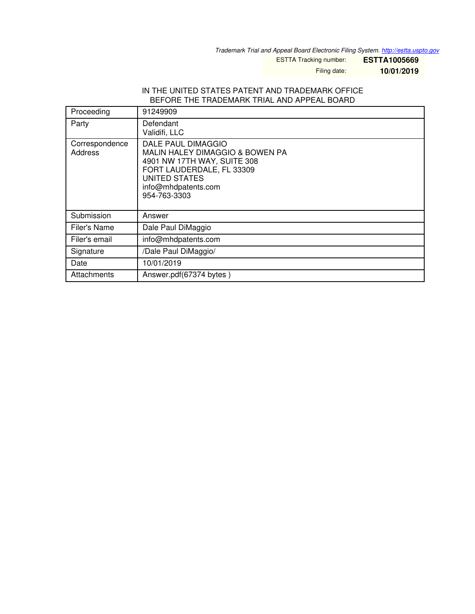*Trademark Trial and Appeal Board Electronic Filing System. <http://estta.uspto.gov>*

ESTTA Tracking number: **ESTTA1005669**

Filing date: **10/01/2019**

#### IN THE UNITED STATES PATENT AND TRADEMARK OFFICE BEFORE THE TRADEMARK TRIAL AND APPEAL BOARD

| Proceeding                | 91249909                                                                                                                                                                  |
|---------------------------|---------------------------------------------------------------------------------------------------------------------------------------------------------------------------|
| Party                     | Defendant<br>Validifi, LLC                                                                                                                                                |
| Correspondence<br>Address | DALE PAUL DIMAGGIO<br>MALIN HALEY DIMAGGIO & BOWEN PA<br>4901 NW 17TH WAY, SUITE 308<br>FORT LAUDERDALE, FL 33309<br>UNITED STATES<br>info@mhdpatents.com<br>954-763-3303 |
| Submission                | Answer                                                                                                                                                                    |
| Filer's Name              | Dale Paul DiMaggio                                                                                                                                                        |
| Filer's email             | info@mhdpatents.com                                                                                                                                                       |
| Signature                 | /Dale Paul DiMaggio/                                                                                                                                                      |
| Date                      | 10/01/2019                                                                                                                                                                |
| Attachments               | Answer.pdf(67374 bytes)                                                                                                                                                   |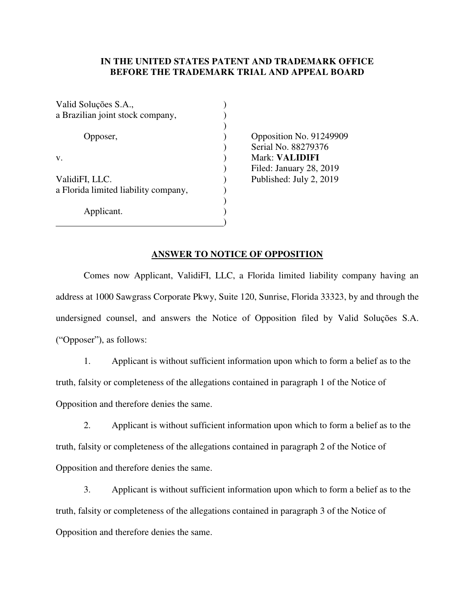# **IN THE UNITED STATES PATENT AND TRADEMARK OFFICE BEFORE THE TRADEMARK TRIAL AND APPEAL BOARD**

| Valid Soluções S.A.,                 |  |
|--------------------------------------|--|
| a Brazilian joint stock company,     |  |
|                                      |  |
| Opposer,                             |  |
|                                      |  |
| v.                                   |  |
|                                      |  |
| ValidiFI, LLC.                       |  |
| a Florida limited liability company, |  |
|                                      |  |
| Applicant.                           |  |
|                                      |  |

 $)$  Opposition No. 91249909 ) Serial No. 88279376 v. ) Mark: **VALIDIFI**  ) Filed: January 28, 2019  $\nu$  Published: July 2, 2019

#### **ANSWER TO NOTICE OF OPPOSITION**

Comes now Applicant, ValidiFI, LLC, a Florida limited liability company having an address at 1000 Sawgrass Corporate Pkwy, Suite 120, Sunrise, Florida 33323, by and through the undersigned counsel, and answers the Notice of Opposition filed by Valid Soluções S.A. ("Opposer"), as follows:

1. Applicant is without sufficient information upon which to form a belief as to the truth, falsity or completeness of the allegations contained in paragraph 1 of the Notice of Opposition and therefore denies the same.

2. Applicant is without sufficient information upon which to form a belief as to the truth, falsity or completeness of the allegations contained in paragraph 2 of the Notice of Opposition and therefore denies the same.

3. Applicant is without sufficient information upon which to form a belief as to the truth, falsity or completeness of the allegations contained in paragraph 3 of the Notice of Opposition and therefore denies the same.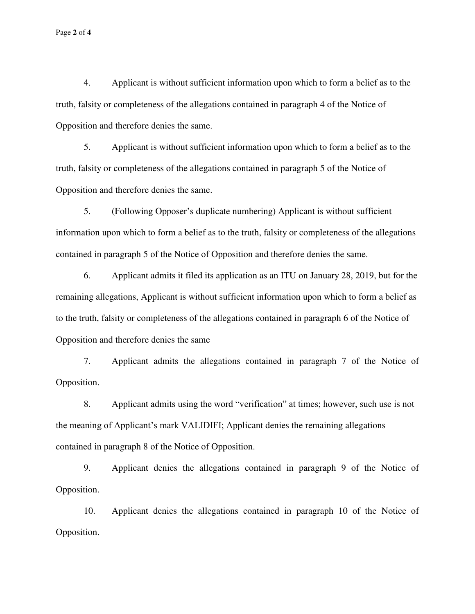Page **2** of **4**

4. Applicant is without sufficient information upon which to form a belief as to the truth, falsity or completeness of the allegations contained in paragraph 4 of the Notice of Opposition and therefore denies the same.

5. Applicant is without sufficient information upon which to form a belief as to the truth, falsity or completeness of the allegations contained in paragraph 5 of the Notice of Opposition and therefore denies the same.

 5. (Following Opposer's duplicate numbering) Applicant is without sufficient information upon which to form a belief as to the truth, falsity or completeness of the allegations contained in paragraph 5 of the Notice of Opposition and therefore denies the same.

6. Applicant admits it filed its application as an ITU on January 28, 2019, but for the remaining allegations, Applicant is without sufficient information upon which to form a belief as to the truth, falsity or completeness of the allegations contained in paragraph 6 of the Notice of Opposition and therefore denies the same

 7. Applicant admits the allegations contained in paragraph 7 of the Notice of Opposition.

8. Applicant admits using the word "verification" at times; however, such use is not the meaning of Applicant's mark VALIDIFI; Applicant denies the remaining allegations contained in paragraph 8 of the Notice of Opposition.

9. Applicant denies the allegations contained in paragraph 9 of the Notice of Opposition.

10. Applicant denies the allegations contained in paragraph 10 of the Notice of Opposition.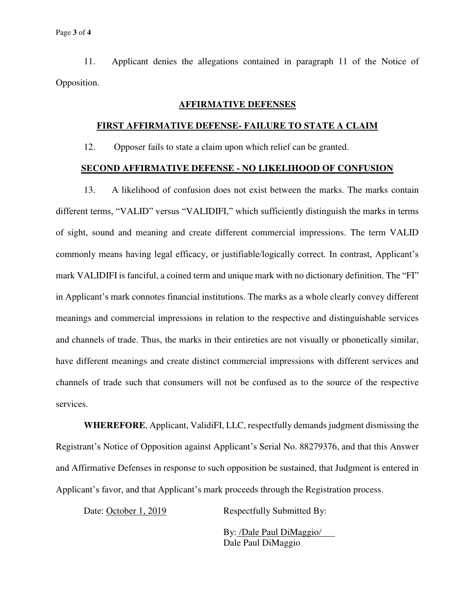11. Applicant denies the allegations contained in paragraph 11 of the Notice of Opposition.

## **AFFIRMATIVE DEFENSES**

# **FIRST AFFIRMATIVE DEFENSE- FAILURE TO STATE A CLAIM**

12. Opposer fails to state a claim upon which relief can be granted.

## **SECOND AFFIRMATIVE DEFENSE - NO LIKELIHOOD OF CONFUSION**

 13. A likelihood of confusion does not exist between the marks. The marks contain different terms, "VALID" versus "VALIDIFI," which sufficiently distinguish the marks in terms of sight, sound and meaning and create different commercial impressions. The term VALID commonly means having legal efficacy, or justifiable/logically correct. In contrast, Applicant's mark VALIDIFI is fanciful, a coined term and unique mark with no dictionary definition. The "FI" in Applicant's mark connotes financial institutions. The marks as a whole clearly convey different meanings and commercial impressions in relation to the respective and distinguishable services and channels of trade. Thus, the marks in their entireties are not visually or phonetically similar, have different meanings and create distinct commercial impressions with different services and channels of trade such that consumers will not be confused as to the source of the respective services.

**WHEREFORE**, Applicant, ValidiFI, LLC, respectfully demands judgment dismissing the Registrant's Notice of Opposition against Applicant's Serial No. 88279376, and that this Answer and Affirmative Defenses in response to such opposition be sustained, that Judgment is entered in Applicant's favor, and that Applicant's mark proceeds through the Registration process.

Date: October 1, 2019 Respectfully Submitted By:

By: /Dale Paul DiMaggio/ Dale Paul DiMaggio